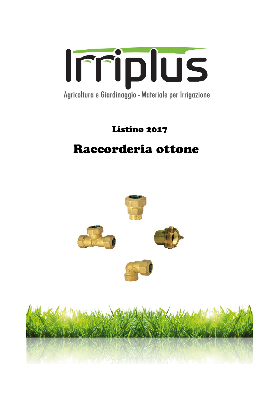

# Listino 2017

# Raccorderia ottone

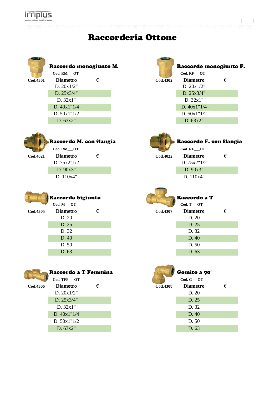

## Raccorderia Ottone

|          | Raccordo monogiunto M. |   |          | Raccordo monogi |  |  |
|----------|------------------------|---|----------|-----------------|--|--|
|          | Cod. RM OT             |   |          | Cod. RF OT      |  |  |
| Cod.4301 | <b>Diametro</b>        | € | Cod.4302 | <b>Diametro</b> |  |  |
|          | D. $20x1/2"$           |   |          | D. $20x1/2$ "   |  |  |
|          | D. 25x3/4"             |   |          | D. 25x3/4"      |  |  |
|          | D. 32x1"               |   |          | D. 32x1"        |  |  |
|          | D. $40x1''1/4$         |   |          | D. $40x1''1/4$  |  |  |
|          | D. $50x1''1/2$         |   |          | D. $50x1''1/2$  |  |  |
|          |                        |   |          |                 |  |  |

D. 63x2"



### Raccordo monogiunto M. Raccordo monogiunto F.  $\text{Cod. RF}\_\text{OT}$

|\_\_\_\_|

| 12 | <b>Diametro</b> | € |
|----|-----------------|---|
|    | D. 20x1/2"      |   |
|    | D. 25x3/4"      |   |
|    | D.32x1"         |   |
|    | D. $40x1"1/4$   |   |
|    | D. $50x1''1/2$  |   |
|    | D.63x2"         |   |



### Raccordo M. con flangia **Raccordo F. Con flangia**

D. 75x2"1/2 D. 75x2"1/2 D. 90x3" D. 90x3" D. 110x4" D. 110x4"

**Cod.4021 Diametro € Cod.4022 Diametro €**



### Raccordo bigiunto **Raccordo a T Cod. M\_\_\_OT** Cod. T\_\_OT **Cod.4305 Diametro € Cod.4307 Diametro €** D. 20 D. 20 D. 25 D. 25 D. 32 D. 32 D. 40 D. 40 D. 50 D. 50



|                 | $\mathbf{C}$    |                 | $\mathbf{u} \cdot \mathbf{v}$ |   |
|-----------------|-----------------|-----------------|-------------------------------|---|
| <b>Cod.4306</b> | <b>Diametro</b> | <b>Cod.4308</b> | <b>Diametro</b>               | € |
|                 | D. $20x1/2"$    |                 | D. 20                         |   |
|                 | D. 25x3/4"      |                 | D. 25                         |   |
|                 | D. 32x1"        |                 | D. 32                         |   |
|                 | D. $40x1''1/4$  |                 | D. 40                         |   |
|                 | D. $50x1''1/2$  |                 | D. 50                         |   |
|                 | D.63x2"         |                 | D.63                          |   |

### Raccordo a T Femmina Gomito a 90°

D. 63 D. 63